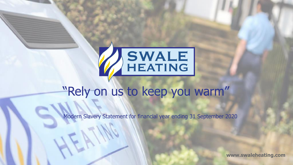

## "Rely on us to keep you warm"

Modern Slavery Statement for financial year ending 31 September 2020

**www.swaleheating.com**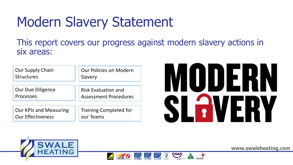# Modern Slavery Statement

This report covers our progress against modern slavery actions in six areas:

| <b>Our Supply Chain</b>       | <b>Our Policies on Modern</b> |
|-------------------------------|-------------------------------|
| <b>Structures</b>             | Slavery                       |
| <b>Our Due Diligence</b>      | <b>Risk Evaluation and</b>    |
| <b>Processes</b>              | <b>Assessment Procedures</b>  |
| <b>Our KPIs and Measuring</b> | <b>Training Completed for</b> |
| <b>Our Effectiveness</b>      | our Teams                     |





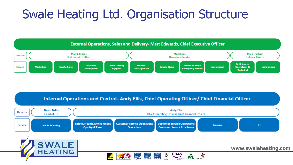## Swale Heating Ltd. Organisation Structure



Internal Operations and Control- Andy Ellis, Chief Operating Officer/ Chief Financial Officer

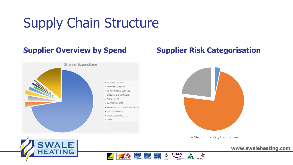# Supply Chain Structure



### **Supplier Overview by Spend Supplier Risk Categorisation**







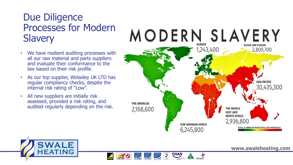### Due Diligence Processes for Modern **Slavery**

- We have resilient auditing processes with all our raw material and parts suppliers and evaluate their conformance to the law based on their risk profile.
- As our top supplier, Wolseley UK LTD has regular compliancy checks, despite the internal risk rating of "Low".
- All new suppliers are initially risk assessed, provided a risk rating, and audited regularly depending on the risk.



 $\sum_{\text{max}}$ 



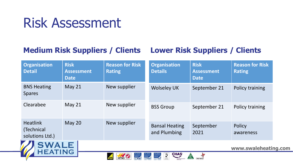## Risk Assessment

### **Medium Risk Suppliers / Clients Lower Risk Suppliers / Clients**

| <b>Organisation</b><br><b>Detail</b>                                                                                                                                                                                                                                                                               | <b>Risk</b><br><b>Assessment</b><br><b>Date</b> | <b>Reason for Risk</b><br><b>Rating</b> | <b>Organisation</b><br><b>Details</b> | <b>Risk</b><br><b>Assessment</b><br><b>Date</b> | <b>Reason for Risk</b><br><b>Rating</b> |
|--------------------------------------------------------------------------------------------------------------------------------------------------------------------------------------------------------------------------------------------------------------------------------------------------------------------|-------------------------------------------------|-----------------------------------------|---------------------------------------|-------------------------------------------------|-----------------------------------------|
| <b>BNS Heating</b><br><b>Spares</b>                                                                                                                                                                                                                                                                                | May 21                                          | New supplier                            | <b>Wolseley UK</b>                    | September 21                                    | Policy training                         |
| Clearabee                                                                                                                                                                                                                                                                                                          | May $21$                                        | New supplier                            | <b>BSS Group</b>                      | September 21                                    | Policy training                         |
| <b>Heatlink</b><br>(Technical<br>solutions Ltd.)<br><b>The Contract of Action</b><br>the control of the control of the control of the control of the control of the control of the control of the control of the control of the control of the control of the control of the control of the control of the control | May 20                                          | New supplier                            | <b>Bansal Heating</b><br>and Plumbing | September<br>2021                               | <b>Policy</b><br>awareness              |



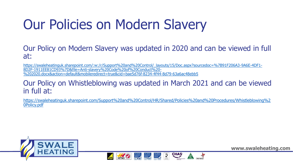# Our Policies on Modern Slavery

Our Policy on Modern Slavery was updated in 2020 and can be viewed in full at:

[https://swaleheatinguk.sharepoint.com/:w:/r/Support%20and%20Control/\\_layouts/15/Doc.aspx?sourcedoc=%7B91F206A3-9A6E-4DF1-](https://swaleheatinguk.sharepoint.com/:w:/r/Support%20and%20Control/_layouts/15/Doc.aspx?sourcedoc=%7B91F206A3-9A6E-4DF1-8D2F-1911EE81CD93%7D&file=Anti-slavery%20Code%20of%20Conduct%20-%202020.docx&action=default&mobileredirect=true&cid=bae5d76f-8234-4f44-8d79-63a6ac48ebb5) 8D2F-1911EE81CD93%7D&file=Anti-slavery%20Code%20of%20Conduct%20- %202020.docx&action=default&mobileredirect=true&cid=bae5d76f-8234-4f44-8d79-63a6ac48ebb5

### Our Policy on Whistleblowing was updated in March 2021 and can be viewed in full at:

[https://swaleheatinguk.sharepoint.com/Support%20and%20Control/HR/Shared/Policies%20and%20Procedures/Whistleblowing%2](https://swaleheatinguk.sharepoint.com/Support%20and%20Control/HR/Shared/Policies%20and%20Procedures/Whistleblowing%20Policy.pdf) 0Policy.pdf

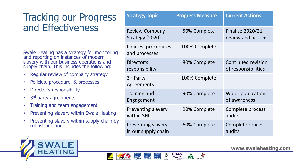### Tracking our Progress and Effectiveness

Swale Heating has a strategy for monitoring and reporting on instances of modern slavery with our business operations and supply chain. This includes the following:

- Regular review of company strategy
- Policies, procedure, & processes
- Director's responsibility
- 3<sup>rd</sup> party agreements
- Training and team engagement
- Preventing slavery within Swale Heating
- Preventing slavery within supply chain by robust auditing

| <b>Strategy Topic</b>                            | <b>Progress Measure</b> | <b>Current Actions</b>                           |
|--------------------------------------------------|-------------------------|--------------------------------------------------|
| <b>Review Company</b><br>Strategy (2020)         | 50% Complete            | <b>Finalise 2020/21</b><br>review and actions    |
| Policies, procedures<br>and processes            | 100% Complete           |                                                  |
| Director's<br>responsibility                     | 80% Complete            | <b>Continued revision</b><br>of responsibilities |
| 3rd Party<br>Agreements                          | 100% Complete           |                                                  |
| <b>Training and</b><br>Engagement                | 90% Complete            | <b>Wider publication</b><br>of awareness         |
| Preventing slavery<br>within SHL                 | 90% Complete            | Complete process<br>audits                       |
| <b>Preventing slavery</b><br>in our supply chain | 60% Complete            | Complete process<br>audits                       |

 $\sum_{n=1}^{\infty}$ 

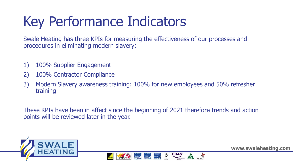# Key Performance Indicators

Swale Heating has three KPIs for measuring the effectiveness of our processes and procedures in eliminating modern slavery:

- 1) 100% Supplier Engagement
- 2) 100% Contractor Compliance
- 3) Modern Slavery awareness training: 100% for new employees and 50% refresher training

These KPIs have been in affect since the beginning of 2021 therefore trends and action points will be reviewed later in the year.

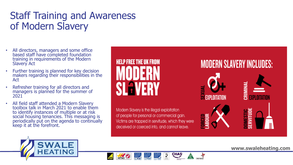## Staff Training and Awareness of Modern Slavery

- All directors, managers and some office based staff have completed foundation training in requirements of the Modern Slavery Act
- Further training is planned for key decision makers regarding their responsibilities in the Act
- Refresher training for all directors and managers is planned for the summer of 2021
- All field staff attended a Modern Slavery toolbox talk in March 2021 to enable them to identify instances of multiple or at risk social housing tenancies. This messaging is periodically put on the agenda to continually keep it at the forefront.



Modern Slavery is the illegal exploitation of people for personal or commercial gain. Victims are trapped in servitude, which they were deceived or coerced into, and cannot leave.

### **MODERN SLAVERY INCLUDES:**